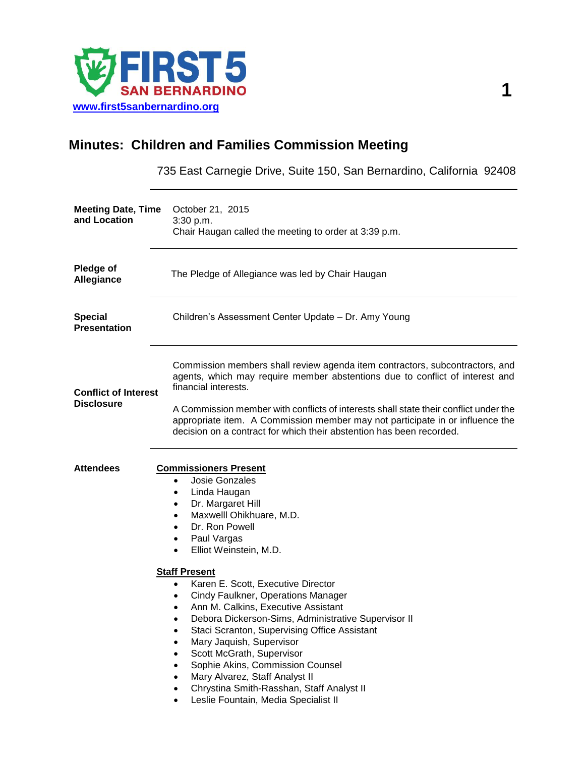

## **Minutes: Children and Families Commission Meeting**

735 East Carnegie Drive, Suite 150, San Bernardino, California 92408

| <b>Meeting Date, Time</b><br>and Location        | October 21, 2015<br>3:30 p.m.<br>Chair Haugan called the meeting to order at 3:39 p.m.                                                                                                                                                                                                                                                                                                                                                                                                                                                                                                                                                                                                                                                                                           |
|--------------------------------------------------|----------------------------------------------------------------------------------------------------------------------------------------------------------------------------------------------------------------------------------------------------------------------------------------------------------------------------------------------------------------------------------------------------------------------------------------------------------------------------------------------------------------------------------------------------------------------------------------------------------------------------------------------------------------------------------------------------------------------------------------------------------------------------------|
| <b>Pledge of</b><br><b>Allegiance</b>            | The Pledge of Allegiance was led by Chair Haugan                                                                                                                                                                                                                                                                                                                                                                                                                                                                                                                                                                                                                                                                                                                                 |
| <b>Special</b><br><b>Presentation</b>            | Children's Assessment Center Update - Dr. Amy Young                                                                                                                                                                                                                                                                                                                                                                                                                                                                                                                                                                                                                                                                                                                              |
| <b>Conflict of Interest</b><br><b>Disclosure</b> | Commission members shall review agenda item contractors, subcontractors, and<br>agents, which may require member abstentions due to conflict of interest and<br>financial interests.<br>A Commission member with conflicts of interests shall state their conflict under the                                                                                                                                                                                                                                                                                                                                                                                                                                                                                                     |
|                                                  | appropriate item. A Commission member may not participate in or influence the<br>decision on a contract for which their abstention has been recorded.                                                                                                                                                                                                                                                                                                                                                                                                                                                                                                                                                                                                                            |
| <b>Attendees</b>                                 | <b>Commissioners Present</b><br><b>Josie Gonzales</b><br>$\bullet$<br>Linda Haugan<br>٠<br>Dr. Margaret Hill<br>٠<br>Maxwelll Ohikhuare, M.D.<br>$\bullet$<br>Dr. Ron Powell<br>$\bullet$<br>Paul Vargas<br>٠<br>Elliot Weinstein, M.D.<br>$\bullet$<br><b>Staff Present</b><br>Karen E. Scott, Executive Director<br>$\bullet$<br>Cindy Faulkner, Operations Manager<br>٠<br>Ann M. Calkins, Executive Assistant<br>٠<br>Debora Dickerson-Sims, Administrative Supervisor II<br>$\bullet$<br>Staci Scranton, Supervising Office Assistant<br>Mary Jaquish, Supervisor<br>٠<br>Scott McGrath, Supervisor<br>Sophie Akins, Commission Counsel<br>$\bullet$<br>Mary Alvarez, Staff Analyst II<br>Chrystina Smith-Rasshan, Staff Analyst II<br>Leslie Fountain, Media Specialist II |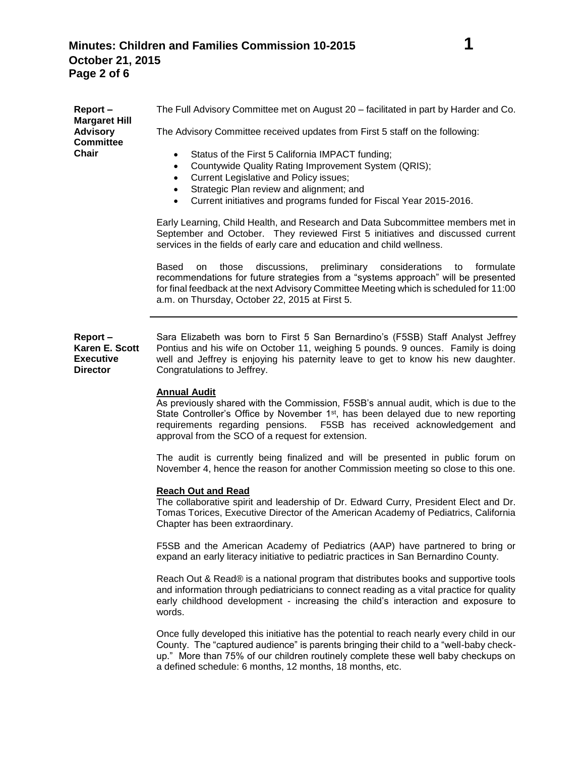| Report-<br><b>Margaret Hill</b>                                  | The Full Advisory Committee met on August 20 - facilitated in part by Harder and Co.                                                                                                                                                                                                                                                      |
|------------------------------------------------------------------|-------------------------------------------------------------------------------------------------------------------------------------------------------------------------------------------------------------------------------------------------------------------------------------------------------------------------------------------|
| <b>Advisory</b><br><b>Committee</b>                              | The Advisory Committee received updates from First 5 staff on the following:                                                                                                                                                                                                                                                              |
| <b>Chair</b>                                                     | Status of the First 5 California IMPACT funding;<br>$\bullet$<br>Countywide Quality Rating Improvement System (QRIS);<br>$\bullet$<br>Current Legislative and Policy issues;<br>$\bullet$<br>Strategic Plan review and alignment; and<br>$\bullet$<br>Current initiatives and programs funded for Fiscal Year 2015-2016.<br>$\bullet$     |
|                                                                  | Early Learning, Child Health, and Research and Data Subcommittee members met in<br>September and October. They reviewed First 5 initiatives and discussed current<br>services in the fields of early care and education and child wellness.                                                                                               |
|                                                                  | Based<br>discussions,<br>preliminary considerations to<br>those<br>formulate<br>on<br>recommendations for future strategies from a "systems approach" will be presented<br>for final feedback at the next Advisory Committee Meeting which is scheduled for 11:00<br>a.m. on Thursday, October 22, 2015 at First 5.                       |
| Report-<br>Karen E. Scott<br><b>Executive</b><br><b>Director</b> | Sara Elizabeth was born to First 5 San Bernardino's (F5SB) Staff Analyst Jeffrey<br>Pontius and his wife on October 11, weighing 5 pounds. 9 ounces. Family is doing<br>well and Jeffrey is enjoying his paternity leave to get to know his new daughter.<br>Congratulations to Jeffrey.                                                  |
|                                                                  | <b>Annual Audit</b><br>As previously shared with the Commission, F5SB's annual audit, which is due to the<br>State Controller's Office by November 1 <sup>st</sup> , has been delayed due to new reporting<br>requirements regarding pensions. F5SB has received acknowledgement and<br>approval from the SCO of a request for extension. |
|                                                                  | The audit is currently being finalized and will be presented in public forum on<br>November 4, hence the reason for another Commission meeting so close to this one.                                                                                                                                                                      |
|                                                                  | <b>Reach Out and Read</b><br>The collaborative spirit and leadership of Dr. Edward Curry, President Elect and Dr.<br>Tomas Torices, Executive Director of the American Academy of Pediatrics, California<br>Chapter has been extraordinary.                                                                                               |
|                                                                  | F5SB and the American Academy of Pediatrics (AAP) have partnered to bring or<br>expand an early literacy initiative to pediatric practices in San Bernardino County.                                                                                                                                                                      |
|                                                                  | Reach Out & Read® is a national program that distributes books and supportive tools<br>and information through pediatricians to connect reading as a vital practice for quality<br>early childhood development - increasing the child's interaction and exposure to<br>words.                                                             |
|                                                                  | Once fully developed this initiative has the potential to reach nearly every child in our<br>County. The "captured audience" is parents bringing their child to a "well-baby check-<br>up." More than 75% of our children routinely complete these well baby checkups on<br>a defined schedule: 6 months, 12 months, 18 months, etc.      |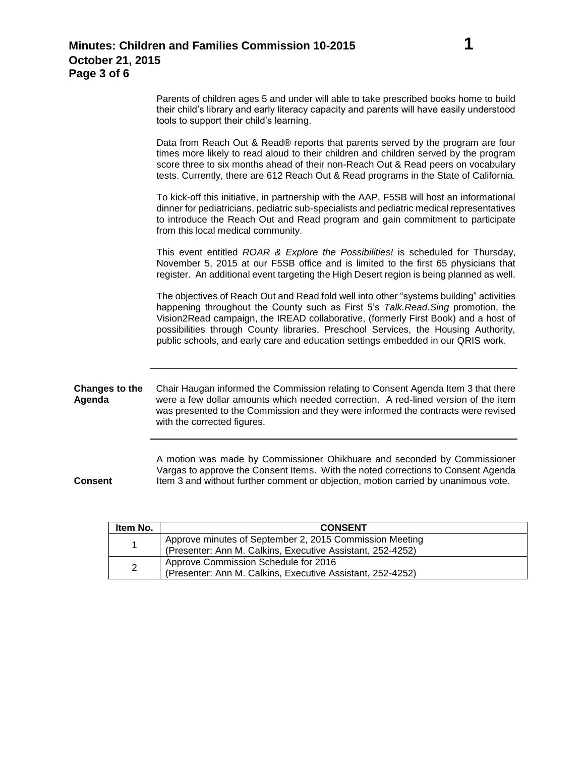|                                 | Parents of children ages 5 and under will able to take prescribed books home to build<br>their child's library and early literacy capacity and parents will have easily understood<br>tools to support their child's learning.                                                                                                                                                                                                               |
|---------------------------------|----------------------------------------------------------------------------------------------------------------------------------------------------------------------------------------------------------------------------------------------------------------------------------------------------------------------------------------------------------------------------------------------------------------------------------------------|
|                                 | Data from Reach Out & Read® reports that parents served by the program are four<br>times more likely to read aloud to their children and children served by the program<br>score three to six months ahead of their non-Reach Out & Read peers on vocabulary<br>tests. Currently, there are 612 Reach Out & Read programs in the State of California.                                                                                        |
|                                 | To kick-off this initiative, in partnership with the AAP, F5SB will host an informational<br>dinner for pediatricians, pediatric sub-specialists and pediatric medical representatives<br>to introduce the Reach Out and Read program and gain commitment to participate<br>from this local medical community.                                                                                                                               |
|                                 | This event entitled ROAR & Explore the Possibilities! is scheduled for Thursday,<br>November 5, 2015 at our F5SB office and is limited to the first 65 physicians that<br>register. An additional event targeting the High Desert region is being planned as well.                                                                                                                                                                           |
|                                 | The objectives of Reach Out and Read fold well into other "systems building" activities<br>happening throughout the County such as First 5's Talk. Read. Sing promotion, the<br>Vision2Read campaign, the IREAD collaborative, (formerly First Book) and a host of<br>possibilities through County libraries, Preschool Services, the Housing Authority,<br>public schools, and early care and education settings embedded in our QRIS work. |
| <b>Changes to the</b><br>Agenda | Chair Haugan informed the Commission relating to Consent Agenda Item 3 that there<br>were a few dollar amounts which needed correction. A red-lined version of the item<br>was presented to the Commission and they were informed the contracts were revised<br>with the corrected figures.                                                                                                                                                  |
| <b>Consent</b>                  | A motion was made by Commissioner Ohikhuare and seconded by Commissioner<br>Vargas to approve the Consent Items. With the noted corrections to Consent Agenda<br>Item 3 and without further comment or objection, motion carried by unanimous vote.                                                                                                                                                                                          |

| Item No.       | <b>CONSENT</b>                                                                                                        |
|----------------|-----------------------------------------------------------------------------------------------------------------------|
|                | Approve minutes of September 2, 2015 Commission Meeting<br>(Presenter: Ann M. Calkins, Executive Assistant, 252-4252) |
| $\overline{2}$ | Approve Commission Schedule for 2016<br>(Presenter: Ann M. Calkins, Executive Assistant, 252-4252)                    |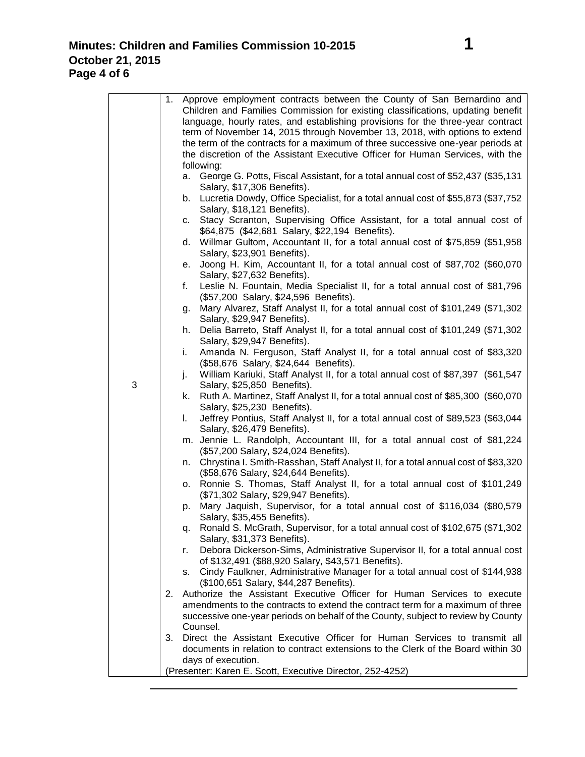|   | 1. Approve employment contracts between the County of San Bernardino and                                                                                     |
|---|--------------------------------------------------------------------------------------------------------------------------------------------------------------|
|   | Children and Families Commission for existing classifications, updating benefit                                                                              |
|   | language, hourly rates, and establishing provisions for the three-year contract                                                                              |
|   | term of November 14, 2015 through November 13, 2018, with options to extend                                                                                  |
|   | the term of the contracts for a maximum of three successive one-year periods at                                                                              |
|   | the discretion of the Assistant Executive Officer for Human Services, with the<br>following:                                                                 |
|   | George G. Potts, Fiscal Assistant, for a total annual cost of \$52,437 (\$35,131)<br>a.                                                                      |
|   | Salary, \$17,306 Benefits).                                                                                                                                  |
|   | b. Lucretia Dowdy, Office Specialist, for a total annual cost of \$55,873 (\$37,752)<br>Salary, \$18,121 Benefits).                                          |
|   | Stacy Scranton, Supervising Office Assistant, for a total annual cost of<br>C.<br>\$64,875 (\$42,681 Salary, \$22,194 Benefits).                             |
|   | d. Willmar Gultom, Accountant II, for a total annual cost of \$75,859 (\$51,958)                                                                             |
|   | Salary, \$23,901 Benefits).                                                                                                                                  |
|   | Joong H. Kim, Accountant II, for a total annual cost of \$87,702 (\$60,070<br>е.                                                                             |
|   | Salary, \$27,632 Benefits).                                                                                                                                  |
|   | Leslie N. Fountain, Media Specialist II, for a total annual cost of \$81,796<br>f.                                                                           |
|   | (\$57,200 Salary, \$24,596 Benefits).                                                                                                                        |
|   | Mary Alvarez, Staff Analyst II, for a total annual cost of \$101,249 (\$71,302<br>g.<br>Salary, \$29,947 Benefits).                                          |
|   | Delia Barreto, Staff Analyst II, for a total annual cost of \$101,249 (\$71,302<br>h.                                                                        |
|   | Salary, \$29,947 Benefits).                                                                                                                                  |
|   | Amanda N. Ferguson, Staff Analyst II, for a total annual cost of \$83,320<br>i.                                                                              |
|   | (\$58,676 Salary, \$24,644 Benefits).                                                                                                                        |
|   | William Kariuki, Staff Analyst II, for a total annual cost of \$87,397 (\$61,547<br>j.                                                                       |
| 3 | Salary, \$25,850 Benefits).                                                                                                                                  |
|   | k. Ruth A. Martinez, Staff Analyst II, for a total annual cost of \$85,300 (\$60,070<br>Salary, \$25,230 Benefits).                                          |
|   | Jeffrey Pontius, Staff Analyst II, for a total annual cost of \$89,523 (\$63,044<br>L.                                                                       |
|   | Salary, \$26,479 Benefits).                                                                                                                                  |
|   | m. Jennie L. Randolph, Accountant III, for a total annual cost of \$81,224                                                                                   |
|   | (\$57,200 Salary, \$24,024 Benefits).                                                                                                                        |
|   | n. Chrystina I. Smith-Rasshan, Staff Analyst II, for a total annual cost of \$83,320                                                                         |
|   | (\$58,676 Salary, \$24,644 Benefits).                                                                                                                        |
|   | o. Ronnie S. Thomas, Staff Analyst II, for a total annual cost of \$101,249                                                                                  |
|   | (\$71,302 Salary, \$29,947 Benefits).<br>Mary Jaquish, Supervisor, for a total annual cost of \$116,034 (\$80,579<br>p.                                      |
|   | Salary, \$35,455 Benefits).                                                                                                                                  |
|   | q. Ronald S. McGrath, Supervisor, for a total annual cost of \$102,675 (\$71,302                                                                             |
|   | Salary, \$31,373 Benefits).                                                                                                                                  |
|   | Debora Dickerson-Sims, Administrative Supervisor II, for a total annual cost<br>r.                                                                           |
|   | of \$132,491 (\$88,920 Salary, \$43,571 Benefits).                                                                                                           |
|   | s. Cindy Faulkner, Administrative Manager for a total annual cost of \$144,938                                                                               |
|   | (\$100,651 Salary, \$44,287 Benefits).                                                                                                                       |
|   | 2. Authorize the Assistant Executive Officer for Human Services to execute<br>amendments to the contracts to extend the contract term for a maximum of three |
|   | successive one-year periods on behalf of the County, subject to review by County                                                                             |
|   | Counsel.                                                                                                                                                     |
|   | Direct the Assistant Executive Officer for Human Services to transmit all<br>3.                                                                              |
|   | documents in relation to contract extensions to the Clerk of the Board within 30                                                                             |
|   | days of execution.                                                                                                                                           |
|   | (Presenter: Karen E. Scott, Executive Director, 252-4252)                                                                                                    |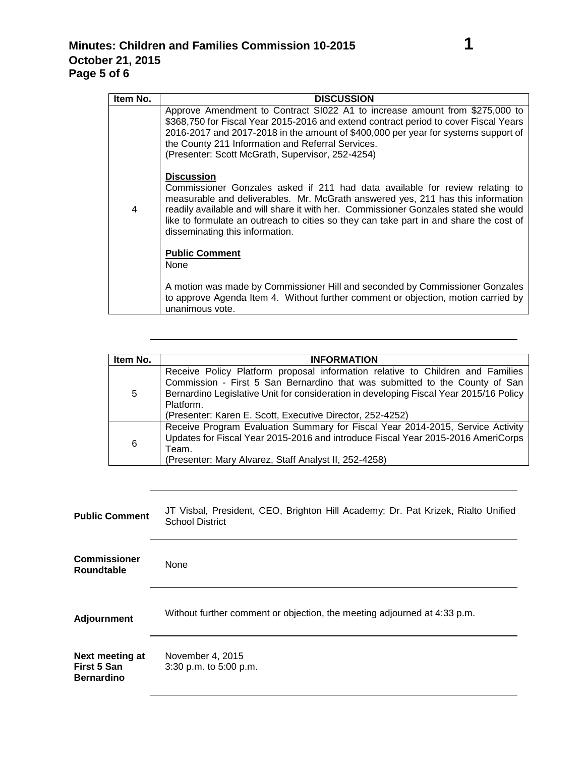| Item No. | <b>DISCUSSION</b>                                                                                                                                                                                                                                                                                                                                                                                         |
|----------|-----------------------------------------------------------------------------------------------------------------------------------------------------------------------------------------------------------------------------------------------------------------------------------------------------------------------------------------------------------------------------------------------------------|
| 4        | Approve Amendment to Contract SI022 A1 to increase amount from \$275,000 to<br>\$368,750 for Fiscal Year 2015-2016 and extend contract period to cover Fiscal Years<br>2016-2017 and 2017-2018 in the amount of \$400,000 per year for systems support of<br>the County 211 Information and Referral Services.<br>(Presenter: Scott McGrath, Supervisor, 252-4254)                                        |
|          | <b>Discussion</b><br>Commissioner Gonzales asked if 211 had data available for review relating to<br>measurable and deliverables. Mr. McGrath answered yes, 211 has this information<br>readily available and will share it with her. Commissioner Gonzales stated she would<br>like to formulate an outreach to cities so they can take part in and share the cost of<br>disseminating this information. |
|          | <b>Public Comment</b><br>None                                                                                                                                                                                                                                                                                                                                                                             |
|          | A motion was made by Commissioner Hill and seconded by Commissioner Gonzales<br>to approve Agenda Item 4. Without further comment or objection, motion carried by<br>unanimous vote.                                                                                                                                                                                                                      |

| Item No. | <b>INFORMATION</b>                                                                                                                                                                                                                                                                                                                |
|----------|-----------------------------------------------------------------------------------------------------------------------------------------------------------------------------------------------------------------------------------------------------------------------------------------------------------------------------------|
| 5        | Receive Policy Platform proposal information relative to Children and Families<br>Commission - First 5 San Bernardino that was submitted to the County of San<br>Bernardino Legislative Unit for consideration in developing Fiscal Year 2015/16 Policy<br>Platform.<br>(Presenter: Karen E. Scott, Executive Director, 252-4252) |
| 6        | Receive Program Evaluation Summary for Fiscal Year 2014-2015, Service Activity<br>Updates for Fiscal Year 2015-2016 and introduce Fiscal Year 2015-2016 AmeriCorps<br>Team.<br>(Presenter: Mary Alvarez, Staff Analyst II, 252-4258)                                                                                              |

| <b>Public Comment</b>                               | JT Visbal, President, CEO, Brighton Hill Academy; Dr. Pat Krizek, Rialto Unified<br><b>School District</b> |
|-----------------------------------------------------|------------------------------------------------------------------------------------------------------------|
| <b>Commissioner</b><br><b>Roundtable</b>            | None                                                                                                       |
| <b>Adjournment</b>                                  | Without further comment or objection, the meeting adjourned at 4:33 p.m.                                   |
| Next meeting at<br>First 5 San<br><b>Bernardino</b> | November 4, 2015<br>3:30 p.m. to 5:00 p.m.                                                                 |